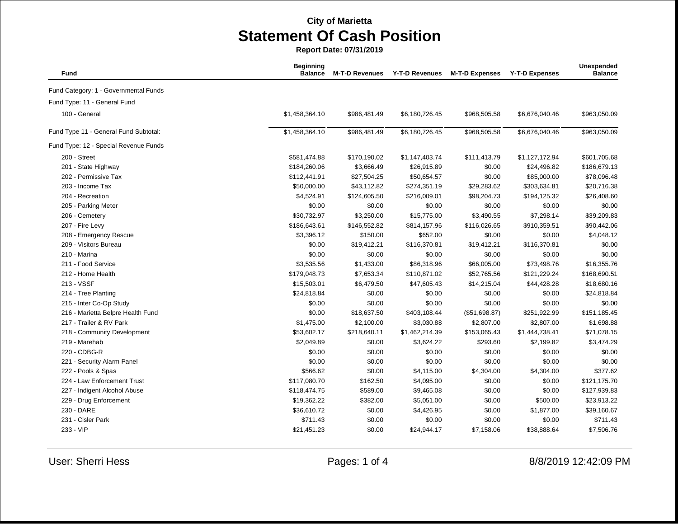| Fund                                  | <b>Beginning</b><br><b>Balance</b> | <b>M-T-D Revenues</b> | Y-T-D Revenues | <b>M-T-D Expenses</b> | <b>Y-T-D Expenses</b> | Unexpended<br><b>Balance</b> |
|---------------------------------------|------------------------------------|-----------------------|----------------|-----------------------|-----------------------|------------------------------|
| Fund Category: 1 - Governmental Funds |                                    |                       |                |                       |                       |                              |
| Fund Type: 11 - General Fund          |                                    |                       |                |                       |                       |                              |
| 100 - General                         | \$1,458,364.10                     | \$986,481.49          | \$6,180,726.45 | \$968,505.58          | \$6,676,040.46        | \$963,050.09                 |
| Fund Type 11 - General Fund Subtotal: | \$1,458,364.10                     | \$986,481.49          | \$6,180,726.45 | \$968,505.58          | \$6,676,040.46        | \$963,050.09                 |
| Fund Type: 12 - Special Revenue Funds |                                    |                       |                |                       |                       |                              |
| 200 - Street                          | \$581,474.88                       | \$170,190.02          | \$1,147,403.74 | \$111,413.79          | \$1,127,172.94        | \$601,705.68                 |
| 201 - State Highway                   | \$184,260.06                       | \$3,666.49            | \$26,915.89    | \$0.00                | \$24,496.82           | \$186,679.13                 |
| 202 - Permissive Tax                  | \$112,441.91                       | \$27,504.25           | \$50,654.57    | \$0.00                | \$85,000.00           | \$78,096.48                  |
| 203 - Income Tax                      | \$50,000.00                        | \$43,112.82           | \$274,351.19   | \$29,283.62           | \$303,634.81          | \$20,716.38                  |
| 204 - Recreation                      | \$4,524.91                         | \$124,605.50          | \$216,009.01   | \$98,204.73           | \$194,125.32          | \$26,408.60                  |
| 205 - Parking Meter                   | \$0.00                             | \$0.00                | \$0.00         | \$0.00                | \$0.00                | \$0.00                       |
| 206 - Cemetery                        | \$30,732.97                        | \$3,250.00            | \$15,775.00    | \$3,490.55            | \$7,298.14            | \$39,209.83                  |
| 207 - Fire Levy                       | \$186,643.61                       | \$146,552.82          | \$814,157.96   | \$116,026.65          | \$910,359.51          | \$90,442.06                  |
| 208 - Emergency Rescue                | \$3,396.12                         | \$150.00              | \$652.00       | \$0.00                | \$0.00                | \$4,048.12                   |
| 209 - Visitors Bureau                 | \$0.00                             | \$19,412.21           | \$116,370.81   | \$19,412.21           | \$116,370.81          | \$0.00                       |
| 210 - Marina                          | \$0.00                             | \$0.00                | \$0.00         | \$0.00                | \$0.00                | \$0.00                       |
| 211 - Food Service                    | \$3,535.56                         | \$1,433.00            | \$86,318.96    | \$66,005.00           | \$73,498.76           | \$16,355.76                  |
| 212 - Home Health                     | \$179,048.73                       | \$7,653.34            | \$110,871.02   | \$52,765.56           | \$121,229.24          | \$168,690.51                 |
| 213 - VSSF                            | \$15,503.01                        | \$6,479.50            | \$47,605.43    | \$14,215.04           | \$44,428.28           | \$18,680.16                  |
| 214 - Tree Planting                   | \$24,818.84                        | \$0.00                | \$0.00         | \$0.00                | \$0.00                | \$24,818.84                  |
| 215 - Inter Co-Op Study               | \$0.00                             | \$0.00                | \$0.00         | \$0.00                | \$0.00                | \$0.00                       |
| 216 - Marietta Belpre Health Fund     | \$0.00                             | \$18,637.50           | \$403,108.44   | (\$51,698.87)         | \$251,922.99          | \$151,185.45                 |
| 217 - Trailer & RV Park               | \$1,475.00                         | \$2,100.00            | \$3,030.88     | \$2,807.00            | \$2,807.00            | \$1,698.88                   |
| 218 - Community Development           | \$53,602.17                        | \$218,640.11          | \$1,462,214.39 | \$153,065.43          | \$1,444,738.41        | \$71,078.15                  |
| 219 - Marehab                         | \$2,049.89                         | \$0.00                | \$3,624.22     | \$293.60              | \$2,199.82            | \$3,474.29                   |
| 220 - CDBG-R                          | \$0.00                             | \$0.00                | \$0.00         | \$0.00                | \$0.00                | \$0.00                       |
| 221 - Security Alarm Panel            | \$0.00                             | \$0.00                | \$0.00         | \$0.00                | \$0.00                | \$0.00                       |
| 222 - Pools & Spas                    | \$566.62                           | \$0.00                | \$4,115.00     | \$4,304.00            | \$4,304.00            | \$377.62                     |
| 224 - Law Enforcement Trust           | \$117,080.70                       | \$162.50              | \$4,095.00     | \$0.00                | \$0.00                | \$121,175.70                 |
| 227 - Indigent Alcohol Abuse          | \$118,474.75                       | \$589.00              | \$9,465.08     | \$0.00                | \$0.00                | \$127,939.83                 |
| 229 - Drug Enforcement                | \$19,362.22                        | \$382.00              | \$5,051.00     | \$0.00                | \$500.00              | \$23,913.22                  |
| 230 - DARE                            | \$36,610.72                        | \$0.00                | \$4,426.95     | \$0.00                | \$1,877.00            | \$39,160.67                  |
| 231 - Cisler Park                     | \$711.43                           | \$0.00                | \$0.00         | \$0.00                | \$0.00                | \$711.43                     |
| 233 - VIP                             | \$21,451.23                        | \$0.00                | \$24,944.17    | \$7,158.06            | \$38,888.64           | \$7,506.76                   |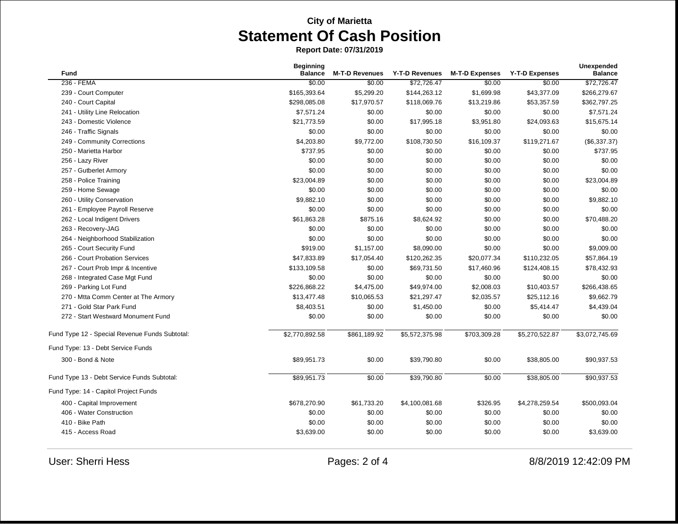| <b>Fund</b>                                    | <b>Beginning</b><br><b>Balance</b> | <b>M-T-D Revenues</b> | Y-T-D Revenues | <b>M-T-D Expenses</b> | <b>Y-T-D Expenses</b> | <b>Unexpended</b><br><b>Balance</b> |
|------------------------------------------------|------------------------------------|-----------------------|----------------|-----------------------|-----------------------|-------------------------------------|
| 236 - FEMA                                     | \$0.00                             | \$0.00                | \$72,726.47    | \$0.00                | \$0.00                | \$72,726.47                         |
| 239 - Court Computer                           | \$165,393.64                       | \$5,299.20            | \$144,263.12   | \$1,699.98            | \$43,377.09           | \$266,279.67                        |
| 240 - Court Capital                            | \$298,085.08                       | \$17,970.57           | \$118,069.76   | \$13,219.86           | \$53,357.59           | \$362,797.25                        |
| 241 - Utility Line Relocation                  | \$7,571.24                         | \$0.00                | \$0.00         | \$0.00                | \$0.00                | \$7,571.24                          |
| 243 - Domestic Violence                        | \$21,773.59                        | \$0.00                | \$17,995.18    | \$3,951.80            | \$24,093.63           | \$15,675.14                         |
| 246 - Traffic Signals                          | \$0.00                             | \$0.00                | \$0.00         | \$0.00                | \$0.00                | \$0.00                              |
| 249 - Community Corrections                    | \$4,203.80                         | \$9,772.00            | \$108,730.50   | \$16,109.37           | \$119,271.67          | (\$6,337.37)                        |
| 250 - Marietta Harbor                          | \$737.95                           | \$0.00                | \$0.00         | \$0.00                | \$0.00                | \$737.95                            |
| 256 - Lazy River                               | \$0.00                             | \$0.00                | \$0.00         | \$0.00                | \$0.00                | \$0.00                              |
| 257 - Gutberlet Armory                         | \$0.00                             | \$0.00                | \$0.00         | \$0.00                | \$0.00                | \$0.00                              |
| 258 - Police Training                          | \$23,004.89                        | \$0.00                | \$0.00         | \$0.00                | \$0.00                | \$23,004.89                         |
| 259 - Home Sewage                              | \$0.00                             | \$0.00                | \$0.00         | \$0.00                | \$0.00                | \$0.00                              |
| 260 - Utility Conservation                     | \$9,882.10                         | \$0.00                | \$0.00         | \$0.00                | \$0.00                | \$9,882.10                          |
| 261 - Employee Payroll Reserve                 | \$0.00                             | \$0.00                | \$0.00         | \$0.00                | \$0.00                | \$0.00                              |
| 262 - Local Indigent Drivers                   | \$61,863.28                        | \$875.16              | \$8,624.92     | \$0.00                | \$0.00                | \$70,488.20                         |
| 263 - Recovery-JAG                             | \$0.00                             | \$0.00                | \$0.00         | \$0.00                | \$0.00                | \$0.00                              |
| 264 - Neighborhood Stabilization               | \$0.00                             | \$0.00                | \$0.00         | \$0.00                | \$0.00                | \$0.00                              |
| 265 - Court Security Fund                      | \$919.00                           | \$1,157.00            | \$8,090.00     | \$0.00                | \$0.00                | \$9,009.00                          |
| 266 - Court Probation Services                 | \$47,833.89                        | \$17,054.40           | \$120,262.35   | \$20,077.34           | \$110,232.05          | \$57,864.19                         |
| 267 - Court Prob Impr & Incentive              | \$133,109.58                       | \$0.00                | \$69,731.50    | \$17,460.96           | \$124,408.15          | \$78,432.93                         |
| 268 - Integrated Case Mgt Fund                 | \$0.00                             | \$0.00                | \$0.00         | \$0.00                | \$0.00                | \$0.00                              |
| 269 - Parking Lot Fund                         | \$226,868.22                       | \$4,475.00            | \$49,974.00    | \$2,008.03            | \$10,403.57           | \$266,438.65                        |
| 270 - Mtta Comm Center at The Armory           | \$13,477.48                        | \$10,065.53           | \$21,297.47    | \$2,035.57            | \$25,112.16           | \$9,662.79                          |
| 271 - Gold Star Park Fund                      | \$8,403.51                         | \$0.00                | \$1,450.00     | \$0.00                | \$5,414.47            | \$4,439.04                          |
| 272 - Start Westward Monument Fund             | \$0.00                             | \$0.00                | \$0.00         | \$0.00                | \$0.00                | \$0.00                              |
| Fund Type 12 - Special Revenue Funds Subtotal: | \$2,770,892.58                     | \$861,189.92          | \$5,572,375.98 | \$703,309.28          | \$5,270,522.87        | \$3,072,745.69                      |
| Fund Type: 13 - Debt Service Funds             |                                    |                       |                |                       |                       |                                     |
| 300 - Bond & Note                              | \$89,951.73                        | \$0.00                | \$39,790.80    | \$0.00                | \$38,805.00           | \$90,937.53                         |
| Fund Type 13 - Debt Service Funds Subtotal:    | \$89,951.73                        | \$0.00                | \$39,790.80    | \$0.00                | \$38,805.00           | \$90,937.53                         |
| Fund Type: 14 - Capitol Project Funds          |                                    |                       |                |                       |                       |                                     |
| 400 - Capital Improvement                      | \$678,270.90                       | \$61,733.20           | \$4,100,081.68 | \$326.95              | \$4,278,259.54        | \$500,093.04                        |
| 406 - Water Construction                       | \$0.00                             | \$0.00                | \$0.00         | \$0.00                | \$0.00                | \$0.00                              |
| 410 - Bike Path                                | \$0.00                             | \$0.00                | \$0.00         | \$0.00                | \$0.00                | \$0.00                              |
| 415 - Access Road                              | \$3,639.00                         | \$0.00                | \$0.00         | \$0.00                | \$0.00                | \$3,639.00                          |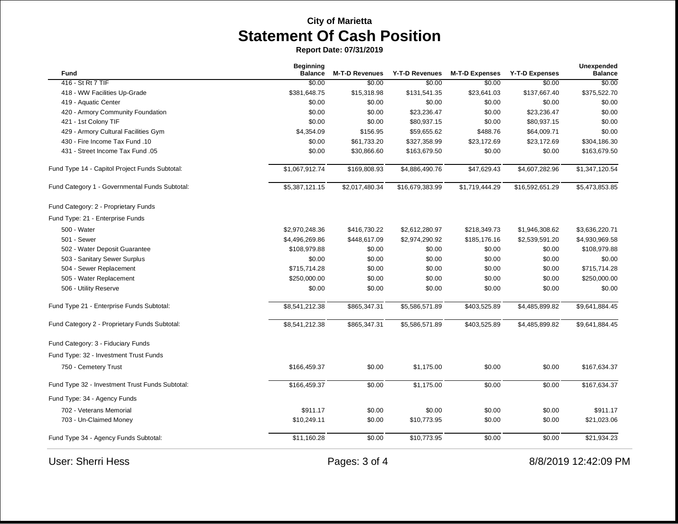| Fund                                            | <b>Beginning</b><br><b>Balance</b> | <b>M-T-D Revenues</b> | Y-T-D Revenues  | <b>M-T-D Expenses</b> | <b>Y-T-D Expenses</b> | <b>Unexpended</b><br><b>Balance</b> |
|-------------------------------------------------|------------------------------------|-----------------------|-----------------|-----------------------|-----------------------|-------------------------------------|
| 416 - St Rt 7 TIF                               | \$0.00                             | \$0.00                | \$0.00          | \$0.00                | \$0.00                | \$0.00                              |
| 418 - WW Facilities Up-Grade                    | \$381,648.75                       | \$15,318.98           | \$131,541.35    | \$23,641.03           | \$137,667.40          | \$375,522.70                        |
| 419 - Aquatic Center                            | \$0.00                             | \$0.00                | \$0.00          | \$0.00                | \$0.00                | \$0.00                              |
| 420 - Armory Community Foundation               | \$0.00                             | \$0.00                | \$23,236.47     | \$0.00                | \$23,236.47           | \$0.00                              |
| 421 - 1st Colony TIF                            | \$0.00                             | \$0.00                | \$80,937.15     | \$0.00                | \$80,937.15           | \$0.00                              |
| 429 - Armory Cultural Facilities Gym            | \$4,354.09                         | \$156.95              | \$59,655.62     | \$488.76              | \$64,009.71           | \$0.00                              |
| 430 - Fire Income Tax Fund .10                  | \$0.00                             | \$61,733.20           | \$327,358.99    | \$23,172.69           | \$23,172.69           | \$304,186.30                        |
| 431 - Street Income Tax Fund .05                | \$0.00                             | \$30,866.60           | \$163,679.50    | \$0.00                | \$0.00                | \$163,679.50                        |
| Fund Type 14 - Capitol Project Funds Subtotal:  | \$1,067,912.74                     | \$169,808.93          | \$4,886,490.76  | \$47,629.43           | \$4,607,282.96        | \$1,347,120.54                      |
| Fund Category 1 - Governmental Funds Subtotal:  | \$5,387,121.15                     | \$2,017,480.34        | \$16,679,383.99 | \$1,719,444.29        | \$16,592,651.29       | \$5,473,853.85                      |
| Fund Category: 2 - Proprietary Funds            |                                    |                       |                 |                       |                       |                                     |
| Fund Type: 21 - Enterprise Funds                |                                    |                       |                 |                       |                       |                                     |
| 500 - Water                                     | \$2,970,248.36                     | \$416,730.22          | \$2,612,280.97  | \$218,349.73          | \$1,946,308.62        | \$3,636,220.71                      |
| 501 - Sewer                                     | \$4,496,269.86                     | \$448,617.09          | \$2,974,290.92  | \$185,176.16          | \$2,539,591.20        | \$4,930,969.58                      |
| 502 - Water Deposit Guarantee                   | \$108,979.88                       | \$0.00                | \$0.00          | \$0.00                | \$0.00                | \$108,979.88                        |
| 503 - Sanitary Sewer Surplus                    | \$0.00                             | \$0.00                | \$0.00          | \$0.00                | \$0.00                | \$0.00                              |
| 504 - Sewer Replacement                         | \$715,714.28                       | \$0.00                | \$0.00          | \$0.00                | \$0.00                | \$715,714.28                        |
| 505 - Water Replacement                         | \$250,000.00                       | \$0.00                | \$0.00          | \$0.00                | \$0.00                | \$250,000.00                        |
| 506 - Utility Reserve                           | \$0.00                             | \$0.00                | \$0.00          | \$0.00                | \$0.00                | \$0.00                              |
| Fund Type 21 - Enterprise Funds Subtotal:       | \$8,541,212.38                     | \$865,347.31          | \$5,586,571.89  | \$403,525.89          | \$4,485,899.82        | \$9,641,884.45                      |
| Fund Category 2 - Proprietary Funds Subtotal:   | \$8,541,212.38                     | \$865,347.31          | \$5,586,571.89  | \$403,525.89          | \$4,485,899.82        | \$9,641,884.45                      |
| Fund Category: 3 - Fiduciary Funds              |                                    |                       |                 |                       |                       |                                     |
| Fund Type: 32 - Investment Trust Funds          |                                    |                       |                 |                       |                       |                                     |
| 750 - Cemetery Trust                            | \$166,459.37                       | \$0.00                | \$1,175.00      | \$0.00                | \$0.00                | \$167,634.37                        |
| Fund Type 32 - Investment Trust Funds Subtotal: | \$166,459.37                       | \$0.00                | \$1,175.00      | \$0.00                | \$0.00                | \$167,634.37                        |
| Fund Type: 34 - Agency Funds                    |                                    |                       |                 |                       |                       |                                     |
| 702 - Veterans Memorial                         | \$911.17                           | \$0.00                | \$0.00          | \$0.00                | \$0.00                | \$911.17                            |
| 703 - Un-Claimed Money                          | \$10,249.11                        | \$0.00                | \$10,773.95     | \$0.00                | \$0.00                | \$21,023.06                         |
| Fund Type 34 - Agency Funds Subtotal:           | \$11,160.28                        | \$0.00                | \$10,773.95     | \$0.00                | \$0.00                | \$21,934.23                         |
| <b>User: Sherri Hess</b>                        |                                    | Pages: 3 of 4         |                 |                       |                       | 8/8/2019 12:42:09 PM                |